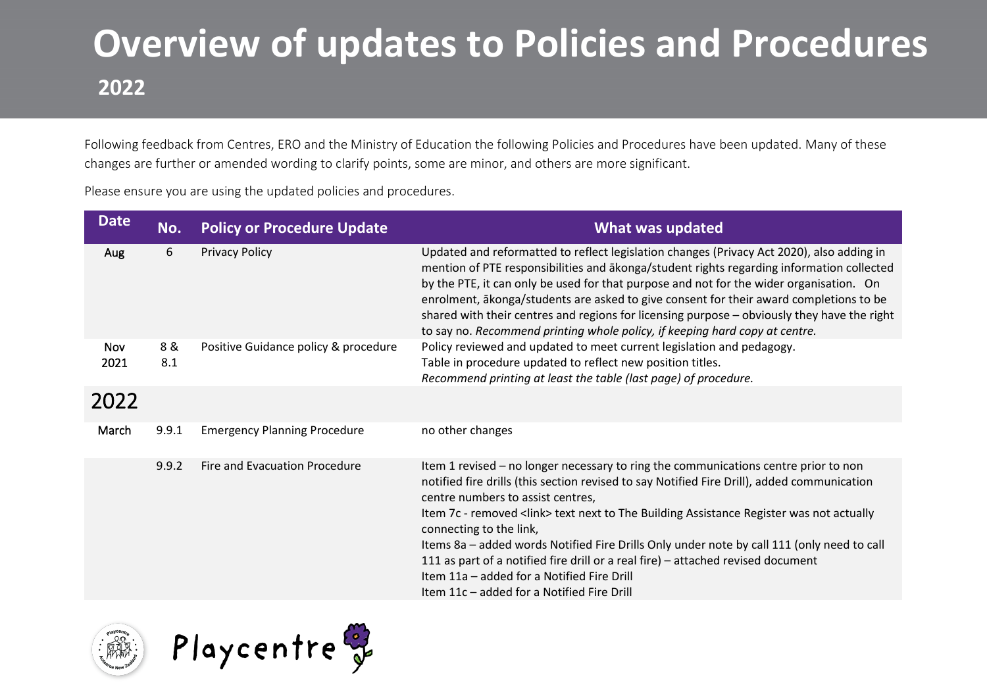## **Overview of updates to Policies and Procedures 2022**

Following feedback from Centres, ERO and the Ministry of Education the following Policies and Procedures have been updated. Many of these changes are further or amended wording to clarify points, some are minor, and others are more significant.

Please ensure you are using the updated policies and procedures.

| <b>Date</b> | No.        | <b>Policy or Procedure Update</b>    | <b>What was updated</b>                                                                                                                                                                                                                                                                                                                                                                                                                                                                                                                                                                                                      |
|-------------|------------|--------------------------------------|------------------------------------------------------------------------------------------------------------------------------------------------------------------------------------------------------------------------------------------------------------------------------------------------------------------------------------------------------------------------------------------------------------------------------------------------------------------------------------------------------------------------------------------------------------------------------------------------------------------------------|
| Aug         | 6          | <b>Privacy Policy</b>                | Updated and reformatted to reflect legislation changes (Privacy Act 2020), also adding in<br>mention of PTE responsibilities and akonga/student rights regarding information collected<br>by the PTE, it can only be used for that purpose and not for the wider organisation. On<br>enrolment, akonga/students are asked to give consent for their award completions to be<br>shared with their centres and regions for licensing purpose - obviously they have the right<br>to say no. Recommend printing whole policy, if keeping hard copy at centre.                                                                    |
| Nov<br>2021 | 8 &<br>8.1 | Positive Guidance policy & procedure | Policy reviewed and updated to meet current legislation and pedagogy.<br>Table in procedure updated to reflect new position titles.<br>Recommend printing at least the table (last page) of procedure.                                                                                                                                                                                                                                                                                                                                                                                                                       |
| 2022        |            |                                      |                                                                                                                                                                                                                                                                                                                                                                                                                                                                                                                                                                                                                              |
| March       | 9.9.1      | <b>Emergency Planning Procedure</b>  | no other changes                                                                                                                                                                                                                                                                                                                                                                                                                                                                                                                                                                                                             |
|             | 9.9.2      | Fire and Evacuation Procedure        | Item 1 revised – no longer necessary to ring the communications centre prior to non<br>notified fire drills (this section revised to say Notified Fire Drill), added communication<br>centre numbers to assist centres,<br>Item 7c - removed <link/> text next to The Building Assistance Register was not actually<br>connecting to the link,<br>Items 8a - added words Notified Fire Drills Only under note by call 111 (only need to call<br>111 as part of a notified fire drill or a real fire) - attached revised document<br>Item 11a - added for a Notified Fire Drill<br>Item 11c - added for a Notified Fire Drill |